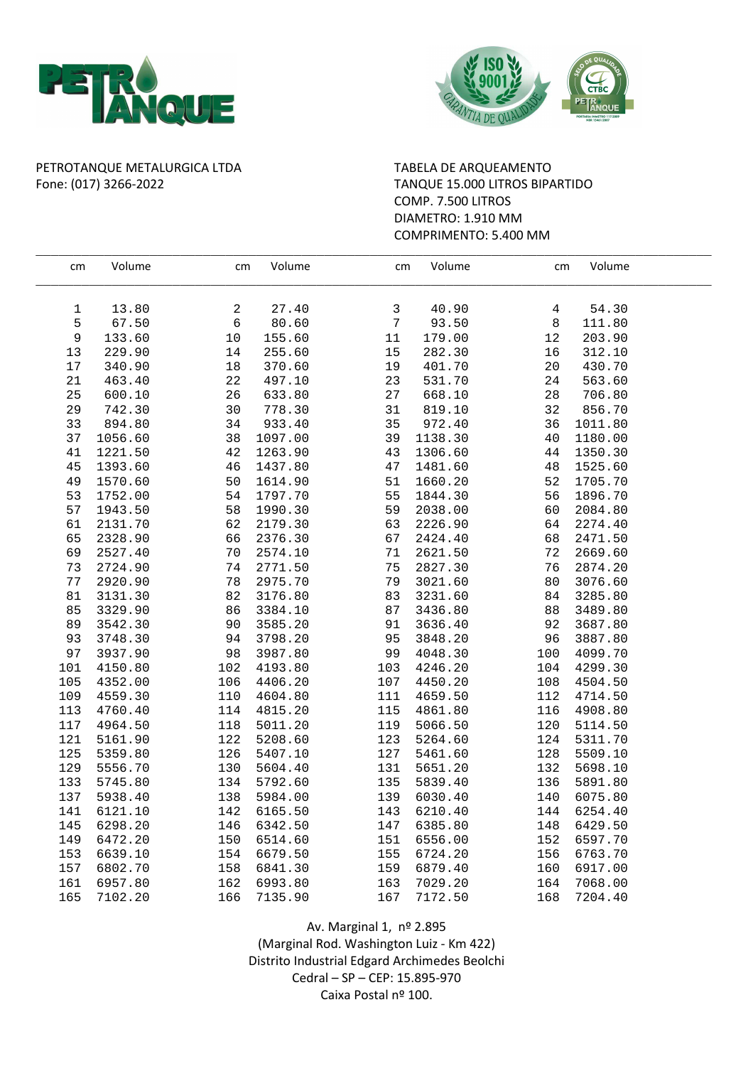



## PETROTANQUE METALURGICA LTDA TABELA DE ARQUEAMENTO Fone: (017) 3266-2022 TANQUE 15.000 LITROS BIPARTIDO

## COMP. 7.500 LITROS DIAMETRO: 1.910 MM COMPRIMENTO: 5.400 MM

| cm          | Volume  | cm          | Volume  | cm     | Volume  | cm  | Volume  |  |
|-------------|---------|-------------|---------|--------|---------|-----|---------|--|
| $\mathbf 1$ | 13.80   | 2           | 27.40   | 3      | 40.90   | 4   | 54.30   |  |
| 5           | 67.50   | $\epsilon$  | 80.60   | 7      | 93.50   | 8   | 111.80  |  |
| 9           | 133.60  | 10          | 155.60  | $11\,$ | 179.00  | 12  | 203.90  |  |
| $13$        | 229.90  | 14          | 255.60  | $15$   | 282.30  | 16  | 312.10  |  |
| 17          | 340.90  | 18          | 370.60  | 19     | 401.70  | 20  | 430.70  |  |
| $2\sqrt{1}$ | 463.40  | 22          | 497.10  | 23     | 531.70  | 24  | 563.60  |  |
| 25          | 600.10  | 26          | 633.80  | 27     | 668.10  | 28  | 706.80  |  |
| 29          | 742.30  | 30          | 778.30  | 31     | 819.10  | 32  | 856.70  |  |
| 33          | 894.80  | 34          | 933.40  | 35     | 972.40  | 36  | 1011.80 |  |
| 37          | 1056.60 | 38          | 1097.00 | 39     | 1138.30 | 40  | 1180.00 |  |
| 41          | 1221.50 | $4\sqrt{2}$ | 1263.90 | 43     | 1306.60 | 44  | 1350.30 |  |
| 45          | 1393.60 | 46          | 1437.80 | 47     | 1481.60 | 48  | 1525.60 |  |
| 49          | 1570.60 | 50          | 1614.90 | 51     | 1660.20 | 52  | 1705.70 |  |
| 53          | 1752.00 | 54          | 1797.70 | 55     | 1844.30 | 56  | 1896.70 |  |
| 57          | 1943.50 | 58          | 1990.30 | 59     | 2038.00 | 60  | 2084.80 |  |
| 61          | 2131.70 | 62          | 2179.30 | 63     | 2226.90 | 64  | 2274.40 |  |
| 65          | 2328.90 | 66          | 2376.30 | 67     | 2424.40 | 68  | 2471.50 |  |
| 69          | 2527.40 | 70          | 2574.10 | 71     | 2621.50 | 72  | 2669.60 |  |
| 73          | 2724.90 | 74          | 2771.50 | 75     | 2827.30 | 76  | 2874.20 |  |
| 77          | 2920.90 | 78          | 2975.70 | 79     | 3021.60 | 80  | 3076.60 |  |
| 81          | 3131.30 | 82          | 3176.80 | 83     | 3231.60 | 84  | 3285.80 |  |
| 85          | 3329.90 | 86          | 3384.10 | 87     | 3436.80 | 88  | 3489.80 |  |
| 89          | 3542.30 | 90          | 3585.20 | 91     | 3636.40 | 92  | 3687.80 |  |
| 93          | 3748.30 | 94          | 3798.20 | 95     | 3848.20 | 96  | 3887.80 |  |
| 97          | 3937.90 | 98          | 3987.80 | 99     | 4048.30 | 100 | 4099.70 |  |
| 101         | 4150.80 | 102         | 4193.80 | 103    | 4246.20 | 104 | 4299.30 |  |
| 105         | 4352.00 | 106         | 4406.20 | 107    | 4450.20 | 108 | 4504.50 |  |
| 109         | 4559.30 | 110         | 4604.80 | 111    | 4659.50 | 112 | 4714.50 |  |
| 113         | 4760.40 | 114         | 4815.20 | 115    | 4861.80 | 116 | 4908.80 |  |
| 117         | 4964.50 | 118         | 5011.20 | 119    | 5066.50 | 120 | 5114.50 |  |
| 121         | 5161.90 | 122         | 5208.60 | 123    | 5264.60 | 124 | 5311.70 |  |
| 125         | 5359.80 | 126         | 5407.10 | 127    | 5461.60 | 128 | 5509.10 |  |
| 129         | 5556.70 | 130         | 5604.40 | 131    | 5651.20 | 132 | 5698.10 |  |
| 133         | 5745.80 | 134         | 5792.60 | 135    | 5839.40 | 136 | 5891.80 |  |
| 137         | 5938.40 | 138         | 5984.00 | 139    | 6030.40 | 140 | 6075.80 |  |
| 141         | 6121.10 | 142         | 6165.50 | 143    | 6210.40 | 144 | 6254.40 |  |
| 145         | 6298.20 | 146         | 6342.50 | 147    | 6385.80 | 148 | 6429.50 |  |
| 149         | 6472.20 | 150         | 6514.60 | 151    | 6556.00 | 152 | 6597.70 |  |
| 153         | 6639.10 | 154         | 6679.50 | 155    | 6724.20 | 156 | 6763.70 |  |
| 157         | 6802.70 | 158         | 6841.30 | 159    | 6879.40 | 160 | 6917.00 |  |
| 161         | 6957.80 | 162         | 6993.80 | 163    | 7029.20 | 164 | 7068.00 |  |
| 165         | 7102.20 | 166         | 7135.90 | 167    | 7172.50 | 168 | 7204.40 |  |

Av. Marginal 1, nº 2.895 (Marginal Rod. Washington Luiz - Km 422) Distrito Industrial Edgard Archimedes Beolchi Cedral – SP – CEP: 15.895-970 Caixa Postal nº 100.